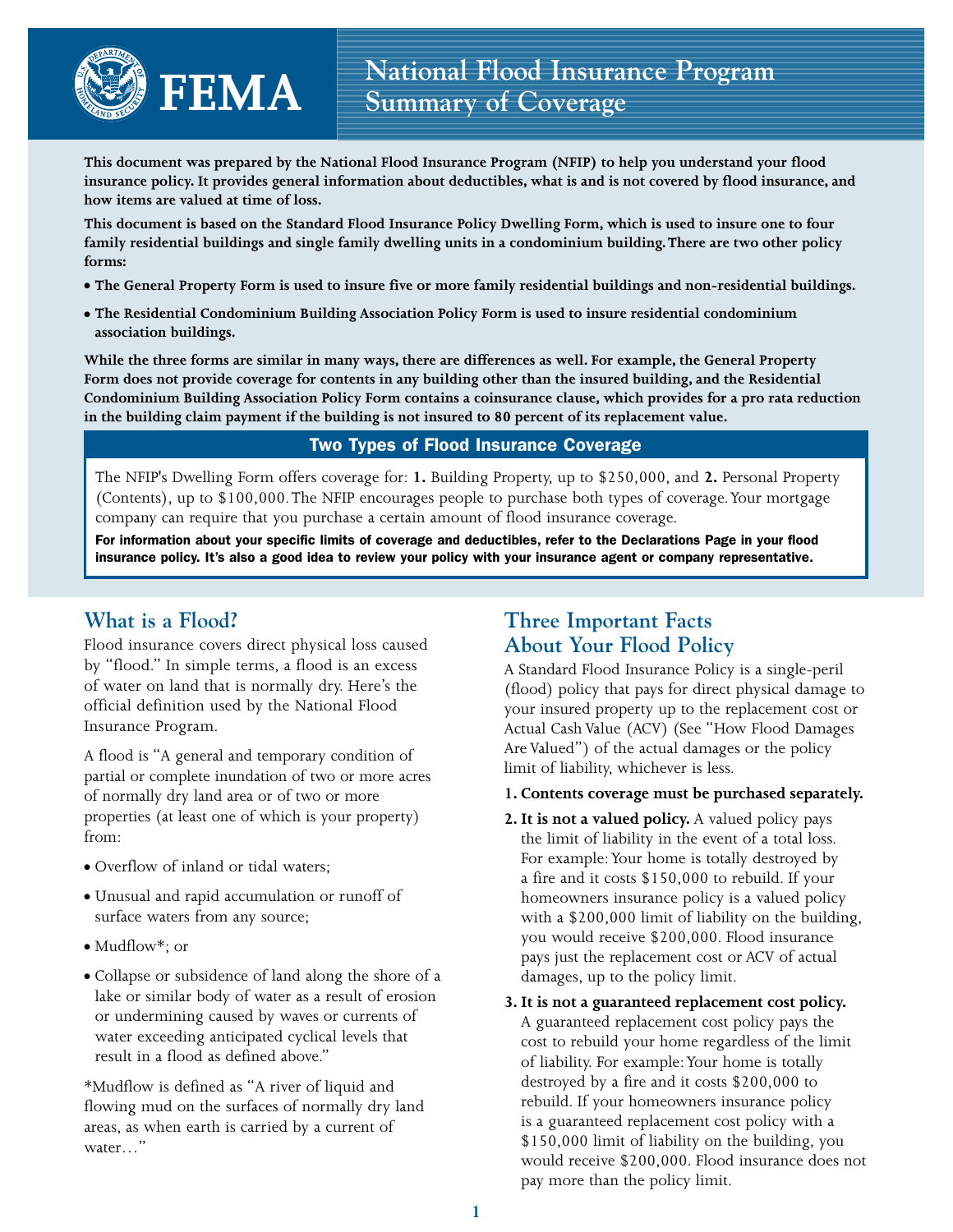**This document was prepared by the National Flood Insurance Program (NFIP) to help you understand your flood insurance policy. It provides general information about deductibles, what is and is not covered by flood insurance, and how items are valued at time of loss.**

**This document is based on the Standard Flood Insurance Policy Dwelling Form, which is used to insure one to four family residential buildings and single family dwelling units in a condominium building. There are two other policy forms:** 

- **The General Property Form is used to insure five or more family residential buildings and non-residential buildings.**
- **The Residential Condominium Building Association Policy Form is used to insure residential condominium association buildings.**

**While the three forms are similar in many ways, there are differences as well. For example, the General Property Form does not provide coverage for contents in any building other than the insured building, and the Residential Condominium Building Association Policy Form contains a coinsurance clause, which provides for a pro rata reduction in the building claim payment if the building is not insured to 80 percent of its replacement value.-**

# Two Types of Flood Insurance Coverage

The NFIP's Dwelling Form offers coverage for: **1.** Building Property, up to \$250,000, and **2.** Personal Property (Contents), up to \$100,000. The NFIP encourages people to purchase both types of coverage. Your mortgage company can require that you purchase a certain amount of flood insurance coverage.

For information about your specific limits of coverage and deductibles, refer to the Declarations Page in your flood insurance policy. It's also a good idea to review your policy with your insurance agent or company representative.

# **What is a Flood?**

Flood insurance covers direct physical loss caused by "flood." In simple terms, a flood is an excess of water on land that is normally dry. Here's the official definition used by the National Flood Insurance Program.

A flood is "A general and temporary condition of partial or complete inundation of two or more acres of normally dry land area or of two or more properties (at least one of which is your property) from:

- Overflow of inland or tidal waters;
- Unusual and rapid accumulation or runoff of surface waters from any source;
- Mudflow\*; or
- Collapse or subsidence of land along the shore of a lake or similar body of water as a result of erosion or undermining caused by waves or currents of water exceeding anticipated cyclical levels that result in a flood as defined above."

\*Mudflow is defined as "A river of liquid and flowing mud on the surfaces of normally dry land areas, as when earth is carried by a current of water…"

# **Three Important Facts About Your Flood Policy**

A Standard Flood Insurance Policy is a single-peril (flood) policy that pays for direct physical damage to your insured property up to the replacement cost or Actual Cash Value (ACV) (See "How Flood Damages Are Valued") of the actual damages or the policy limit of liability, whichever is less.

- **1. Contents coverage must be purchased separately.**
- **2. It is not a valued policy.** A valued policy pays the limit of liability in the event of a total loss. For example: Your home is totally destroyed by a fire and it costs \$150,000 to rebuild. If your homeowners insurance policy is a valued policy with a \$200,000 limit of liability on the building, you would receive \$200,000. Flood insurance pays just the replacement cost or ACV of actual damages, up to the policy limit.
- **3. It is not a guaranteed replacement cost policy.** A guaranteed replacement cost policy pays the cost to rebuild your home regardless of the limit of liability. For example: Your home is totally destroyed by a fire and it costs \$200,000 to rebuild. If your homeowners insurance policy is a guaranteed replacement cost policy with a \$150,000 limit of liability on the building, you would receive \$200,000. Flood insurance does not pay more than the policy limit.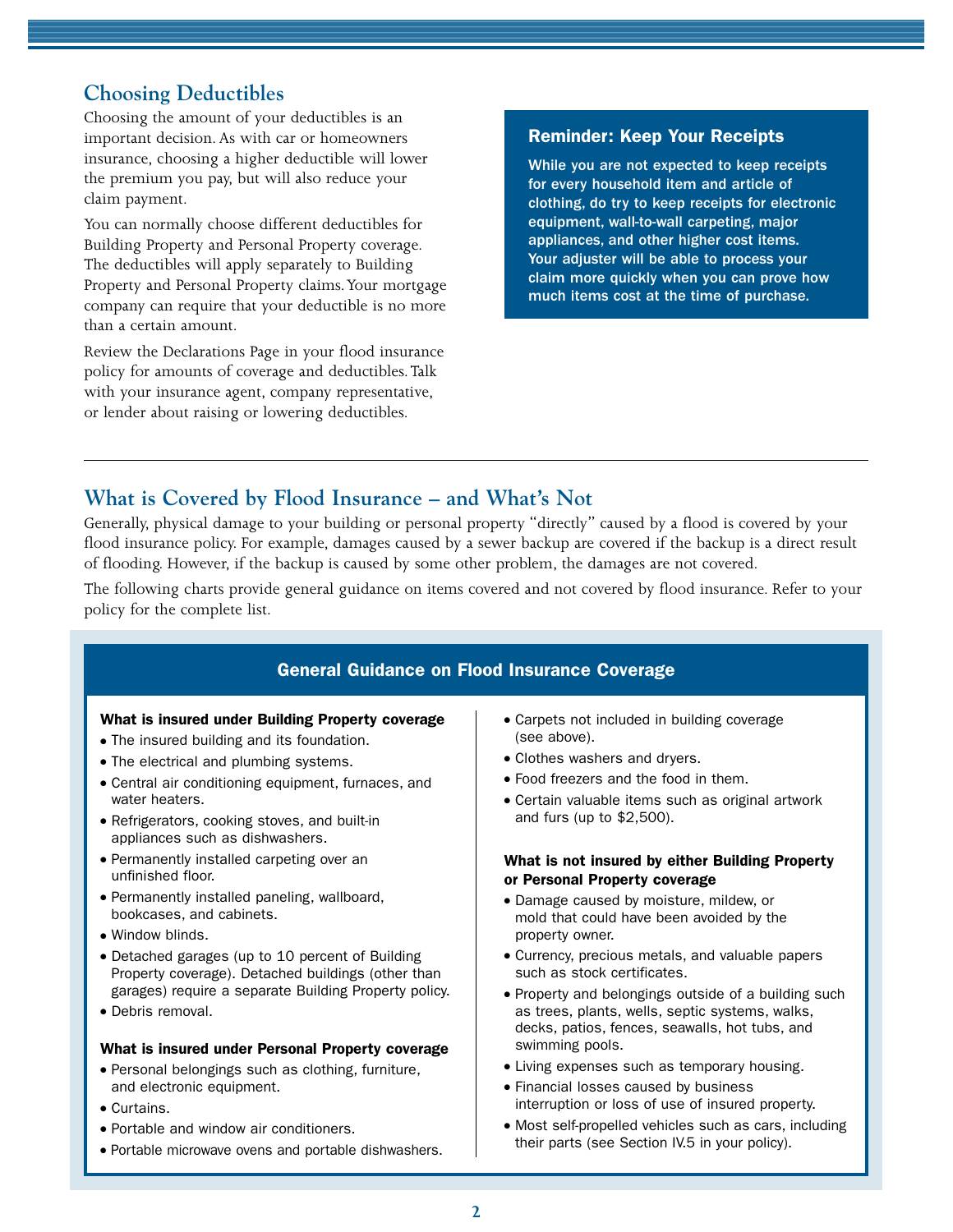# **Choosing Deductibles**

Choosing the amount of your deductibles is an important decision. As with car or homeowners insurance, choosing a higher deductible will lower the premium you pay, but will also reduce your claim payment.

You can normally choose different deductibles for Building Property and Personal Property coverage. The deductibles will apply separately to Building Property and Personal Property claims. Your mortgage company can require that your deductible is no more than a certain amount.

Review the Declarations Page in your flood insurance policy for amounts of coverage and deductibles. Talk with your insurance agent, company representative, or lender about raising or lowering deductibles.

## Reminder: Keep Your Receipts

While you are not expected to keep receipts for every household item and article of clothing, do try to keep receipts for electronic equipment, wall-to-wall carpeting, major appliances, and other higher cost items. Your adjuster will be able to process your claim more quickly when you can prove how much items cost at the time of purchase.

# **What is Covered by Flood Insurance – and What's Not**

Generally, physical damage to your building or personal property "directly" caused by a flood is covered by your flood insurance policy. For example, damages caused by a sewer backup are covered if the backup is a direct result of flooding. However, if the backup is caused by some other problem, the damages are not covered.

The following charts provide general guidance on items covered and not covered by flood insurance. Refer to your policy for the complete list.

# General Guidance on Flood Insurance Coverage

## What is insured under Building Property coverage

- The insured building and its foundation.
- The electrical and plumbing systems.
- Central air conditioning equipment, furnaces, and water heaters.
- Refrigerators, cooking stoves, and built-in appliances such as dishwashers.
- Permanently installed carpeting over an unfinished floor.
- Permanently installed paneling, wallboard, bookcases, and cabinets.
- Window blinds.
- Detached garages (up to 10 percent of Building Property coverage). Detached buildings (other than garages) require a separate Building Property policy.
- Debris removal.

## What is insured under Personal Property coverage

- Personal belongings such as clothing, furniture, and electronic equipment.
- Curtains.
- Portable and window air conditioners.
- Portable microwave ovens and portable dishwashers.
- Carpets not included in building coverage (see above).
- Clothes washers and dryers.
- Food freezers and the food in them.
- Certain valuable items such as original artwork and furs (up to \$2,500).

## What is not insured by either Building Property or Personal Property coverage

- Damage caused by moisture, mildew, or mold that could have been avoided by the property owner.
- Currency, precious metals, and valuable papers such as stock certificates.
- Property and belongings outside of a building such as trees, plants, wells, septic systems, walks, decks, patios, fences, seawalls, hot tubs, and swimming pools.
- Living expenses such as temporary housing.
- Financial losses caused by business interruption or loss of use of insured property.
- Most self-propelled vehicles such as cars, including their parts (see Section IV.5 in your policy).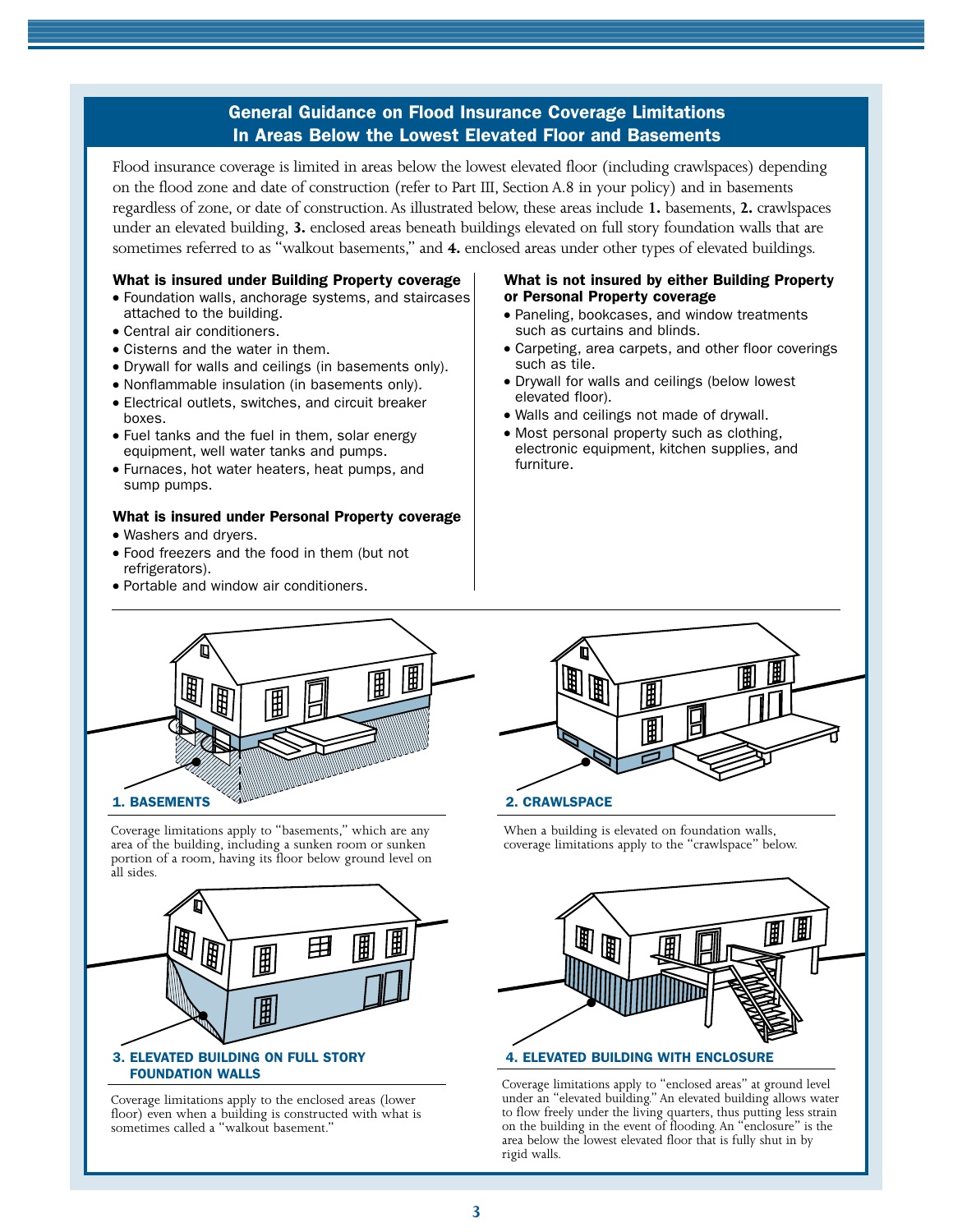## General Guidance on Flood Insurance Coverage Limitations In Areas Below the Lowest Elevated Floor and Basements

Flood insurance coverage is limited in areas below the lowest elevated floor (including crawlspaces) depending on the flood zone and date of construction (refer to Part III, Section A.8 in your policy) and in basements regardless of zone, or date of construction. As illustrated below, these areas include **1.** basements, **2.** crawlspaces under an elevated building, **3.** enclosed areas beneath buildings elevated on full story foundation walls that are sometimes referred to as "walkout basements," and **4.** enclosed areas under other types of elevated buildings.

#### What is insured under Building Property coverage

- Foundation walls, anchorage systems, and staircases attached to the building.
- Central air conditioners.
- Cisterns and the water in them.
- Drywall for walls and ceilings (in basements only).
- Nonflammable insulation (in basements only).
- Electrical outlets, switches, and circuit breaker boxes.
- Fuel tanks and the fuel in them, solar energy equipment, well water tanks and pumps.
- Furnaces, hot water heaters, heat pumps, and sump pumps.

## What is insured under Personal Property coverage

- Washers and dryers.
- Food freezers and the food in them (but not refrigerators).
- Portable and window air conditioners.

#### What is not insured by either Building Property or Personal Property coverage

- Paneling, bookcases, and window treatments such as curtains and blinds.
- Carpeting, area carpets, and other floor coverings such as tile.
- Drywall for walls and ceilings (below lowest elevated floor).
- Walls and ceilings not made of drywall.
- Most personal property such as clothing, electronic equipment, kitchen supplies, and furniture.



Coverage limitations apply to "basements," which are any area of the building, including a sunken room or sunken portion of a room, having its floor below ground level on all sides.



Coverage limitations apply to the enclosed areas (lower floor) even when a building is constructed with what is sometimes called a "walkout basement."



When a building is elevated on foundation walls, coverage limitations apply to the "crawlspace" below.



Coverage limitations apply to "enclosed areas" at ground level under an "elevated building." An elevated building allows water to flow freely under the living quarters, thus putting less strain on the building in the event of flooding. An "enclosure" is the area below the lowest elevated floor that is fully shut in by rigid walls.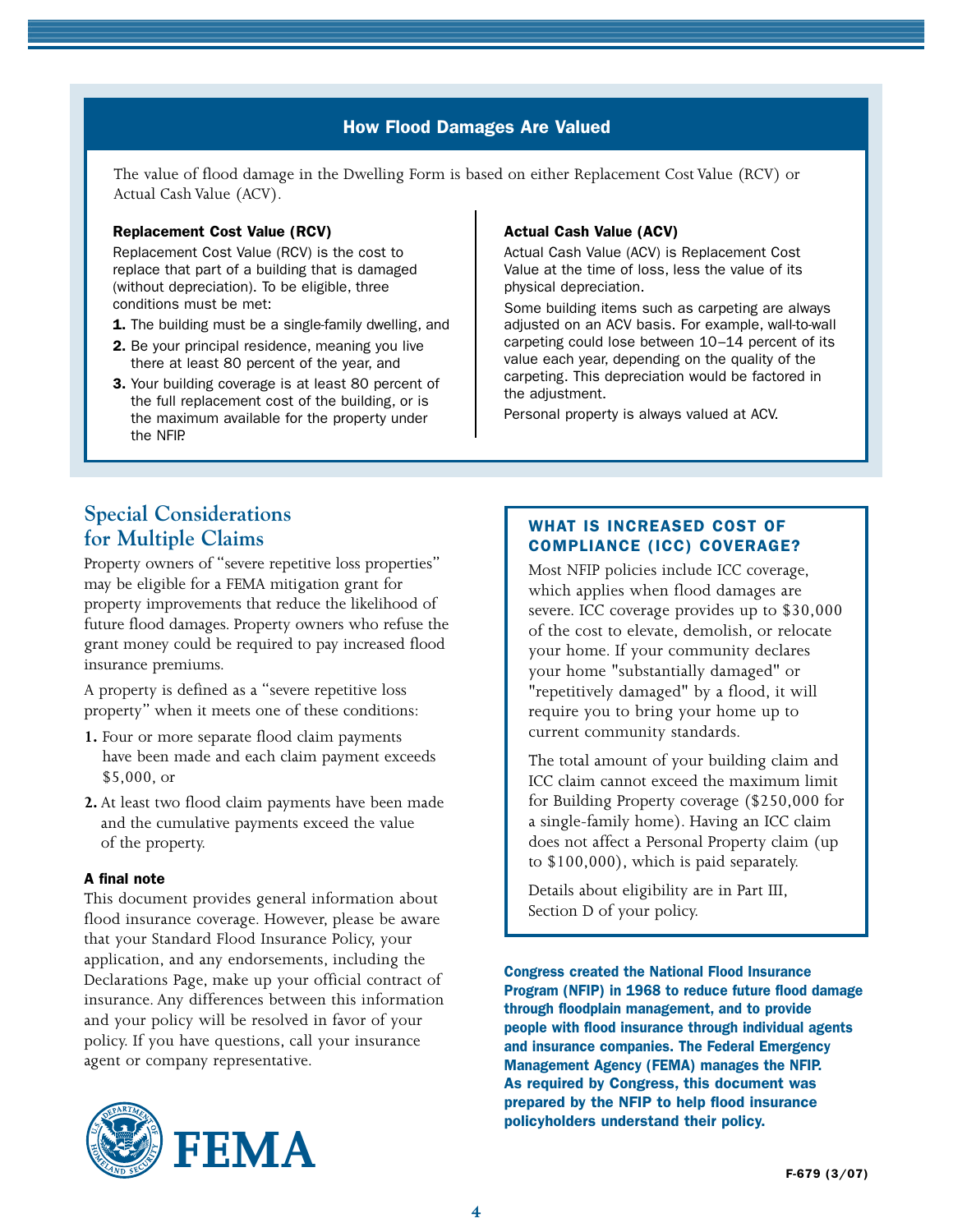# How Flood Damages Are Valued How Flood Damages Are Valued

The value of flood damage in the Dwelling Form is based on either Replacement Cost Value (RCV) or Actual Cash Value (ACV).

#### Replacement Cost Value (RCV)

Replacement Cost Value (RCV) is the cost to replace that part of a building that is damaged (without depreciation). To be eligible, three conditions must be met:

- 1. The building must be a single-family dwelling, and
- 2. Be your principal residence, meaning you live there at least 80 percent of the year, and
- 3. Your building coverage is at least 80 percent of the full replacement cost of the building, or is the maximum available for the property under the NFIP.

#### Actual Cash Value (ACV)

Actual Cash Value (ACV) is Replacement Cost Value at the time of loss, less the value of its physical depreciation.

Some building items such as carpeting are always adjusted on an ACV basis. For example, wall-to-wall carpeting could lose between 10–14 percent of its value each year, depending on the quality of the carpeting. This depreciation would be factored in the adjustment.

Personal property is always valued at ACV.

# **Special Considerations for Multiple Claims**

Property owners of "severe repetitive loss properties" may be eligible for a FEMA mitigation grant for property improvements that reduce the likelihood of future flood damages. Property owners who refuse the grant money could be required to pay increased flood insurance premiums.

A property is defined as a "severe repetitive loss property" when it meets one of these conditions:

- **1.** Four or more separate flood claim payments have been made and each claim payment exceeds \$5,000, or
- **2.** At least two flood claim payments have been made and the cumulative payments exceed the value of the property.

## A final note

This document provides general information about flood insurance coverage. However, please be aware that your Standard Flood Insurance Policy, your application, and any endorsements, including the Declarations Page, make up your official contract of insurance. Any differences between this information and your policy will be resolved in favor of your policy. If you have questions, call your insurance agent or company representative.



## What is Increased Cost of Compliance (ICC) coverage?

Most NFIP policies include ICC coverage, which applies when flood damages are severe. ICC coverage provides up to \$30,000 of the cost to elevate, demolish, or relocate your home. If your community declares your home "substantially damaged" or "repetitively damaged" by a flood, it will require you to bring your home up to current community standards.

The total amount of your building claim and ICC claim cannot exceed the maximum limit for Building Property coverage (\$250,000 for a single-family home). Having an ICC claim does not affect a Personal Property claim (up to \$100,000), which is paid separately.

Details about eligibility are in Part III, Section D of your policy.

Congress created the National Flood Insurance Program (NFIP) in 1968 to reduce future flood damage through floodplain management, and to provide people with flood insurance through individual agents and insurance companies. The Federal Emergency Management Agency (FEMA) manages the NFIP. As required by Congress, this document was prepared by the NFIP to help flood insurance policyholders understand their policy.